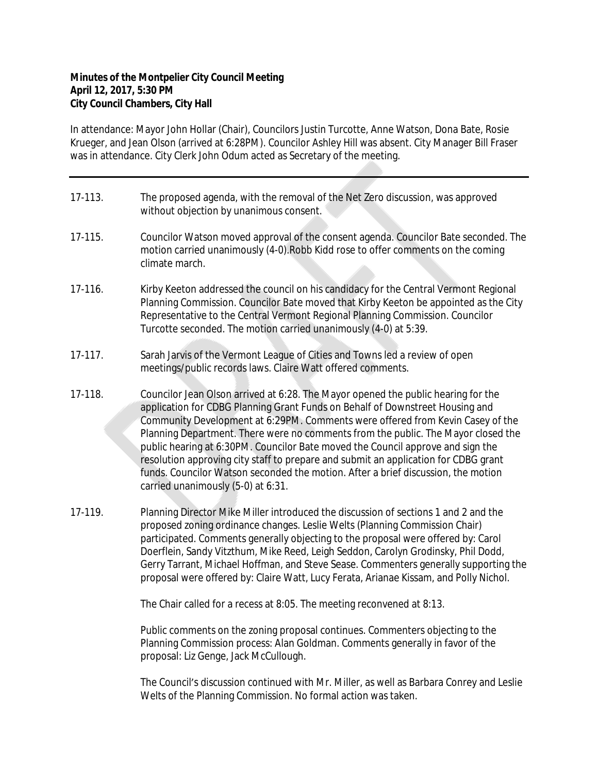## **Minutes of the Montpelier City Council Meeting April 12, 2017, 5:30 PM City Council Chambers, City Hall**

In attendance: Mayor John Hollar (Chair), Councilors Justin Turcotte, Anne Watson, Dona Bate, Rosie Krueger, and Jean Olson (arrived at 6:28PM). Councilor Ashley Hill was absent. City Manager Bill Fraser was in attendance. City Clerk John Odum acted as Secretary of the meeting.

- 17-113. The proposed agenda, with the removal of the Net Zero discussion, was approved without objection by unanimous consent.
- 17-115. Councilor Watson moved approval of the consent agenda. Councilor Bate seconded. The motion carried unanimously (4-0).Robb Kidd rose to offer comments on the coming climate march.
- 17-116. Kirby Keeton addressed the council on his candidacy for the Central Vermont Regional Planning Commission. Councilor Bate moved that Kirby Keeton be appointed as the City Representative to the Central Vermont Regional Planning Commission. Councilor Turcotte seconded. The motion carried unanimously (4-0) at 5:39.
- 17-117. Sarah Jarvis of the Vermont League of Cities and Towns led a review of open meetings/public records laws. Claire Watt offered comments.
- 17-118. Councilor Jean Olson arrived at 6:28. The Mayor opened the public hearing for the application for CDBG Planning Grant Funds on Behalf of Downstreet Housing and Community Development at 6:29PM. Comments were offered from Kevin Casey of the Planning Department. There were no comments from the public. The Mayor closed the public hearing at 6:30PM. Councilor Bate moved the Council approve and sign the resolution approving city staff to prepare and submit an application for CDBG grant funds. Councilor Watson seconded the motion. After a brief discussion, the motion carried unanimously (5-0) at 6:31.
- 17-119. Planning Director Mike Miller introduced the discussion of sections 1 and 2 and the proposed zoning ordinance changes. Leslie Welts (Planning Commission Chair) participated. Comments generally objecting to the proposal were offered by: Carol Doerflein, Sandy Vitzthum, Mike Reed, Leigh Seddon, Carolyn Grodinsky, Phil Dodd, Gerry Tarrant, Michael Hoffman, and Steve Sease. Commenters generally supporting the proposal were offered by: Claire Watt, Lucy Ferata, Arianae Kissam, and Polly Nichol.

The Chair called for a recess at 8:05. The meeting reconvened at 8:13.

Public comments on the zoning proposal continues. Commenters objecting to the Planning Commission process: Alan Goldman. Comments generally in favor of the proposal: Liz Genge, Jack McCullough.

The Council's discussion continued with Mr. Miller, as well as Barbara Conrey and Leslie Welts of the Planning Commission. No formal action was taken.